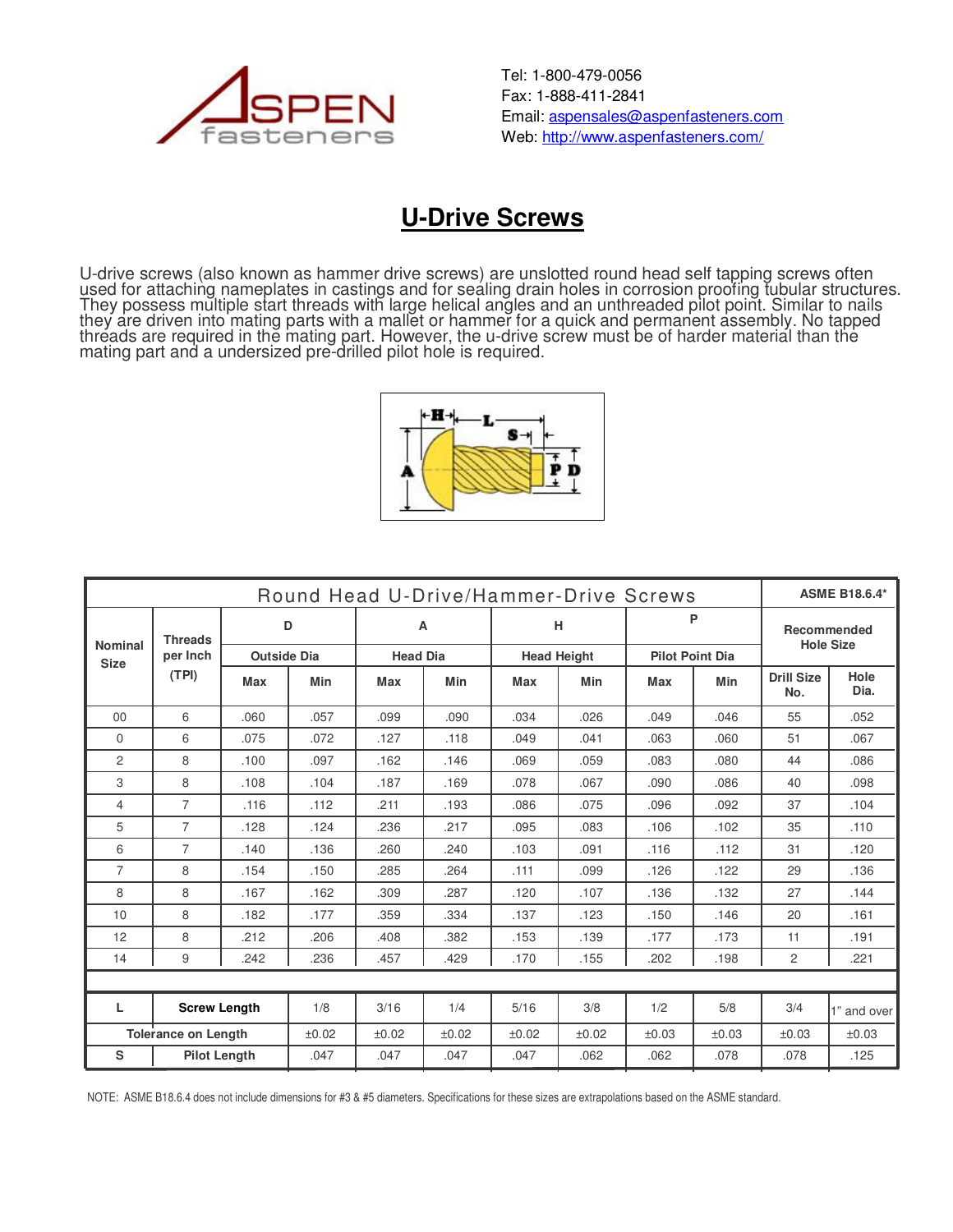

Tel: 1-800-479-0056 Fax: 1-888-411-2841 Email: aspensales@aspenfasteners.com Web: http://www.aspenfasteners.com/

## **U-Drive Screws**

U-drive screws (also known as hammer drive screws) are unslotted round head self tapping screws often used for attaching nameplates in castings and for sealing drain holes in corrosion proofing tubular structures. They possess multiple start threads with large helical angles and an unthreaded pilot point. Similar to nails they are driven into mating parts with a mallet or hammer for a quick and permanent assembly. No tapped threads are required in the mating part. However, the u-drive screw must be of harder material than the mating part and a undersized pre-drilled pilot hole is required.



| Round Head U-Drive/Hammer-Drive Screws<br><b>ASME B18.6.4*</b> |                                     |                    |            |                 |            |                    |       |                        |       |                                        |              |
|----------------------------------------------------------------|-------------------------------------|--------------------|------------|-----------------|------------|--------------------|-------|------------------------|-------|----------------------------------------|--------------|
| <b>Nominal</b><br><b>Size</b>                                  | <b>Threads</b><br>per Inch<br>(TPI) | D                  |            | A               |            | н                  |       | P                      |       | <b>Recommended</b><br><b>Hole Size</b> |              |
|                                                                |                                     | <b>Outside Dia</b> |            | <b>Head Dia</b> |            | <b>Head Height</b> |       | <b>Pilot Point Dia</b> |       |                                        |              |
|                                                                |                                     | Max                | <b>Min</b> | <b>Max</b>      | <b>Min</b> | Max                | Min   | <b>Max</b>             | Min   | <b>Drill Size</b><br>No.               | Hole<br>Dia. |
| 00                                                             | 6                                   | .060               | .057       | .099            | .090       | .034               | .026  | .049                   | .046  | 55                                     | .052         |
| $\Omega$                                                       | 6                                   | .075               | .072       | .127            | .118       | .049               | .041  | .063                   | .060  | 51                                     | .067         |
| $\overline{c}$                                                 | 8                                   | .100               | .097       | .162            | .146       | .069               | .059  | .083                   | .080  | 44                                     | .086         |
| 3                                                              | 8                                   | .108               | .104       | .187            | .169       | .078               | .067  | .090                   | .086  | 40                                     | .098         |
| 4                                                              | $\overline{7}$                      | .116               | .112       | .211            | .193       | .086               | .075  | .096                   | .092  | 37                                     | .104         |
| 5                                                              | $\overline{7}$                      | .128               | .124       | .236            | .217       | .095               | .083  | .106                   | .102  | 35                                     | .110         |
| 6                                                              | 7                                   | .140               | .136       | .260            | .240       | .103               | .091  | .116                   | .112  | 31                                     | .120         |
| $\overline{7}$                                                 | 8                                   | .154               | .150       | .285            | .264       | .111               | .099  | .126                   | .122  | 29                                     | .136         |
| 8                                                              | 8                                   | .167               | .162       | .309            | .287       | .120               | .107  | .136                   | .132  | 27                                     | .144         |
| 10                                                             | 8                                   | .182               | .177       | .359            | .334       | .137               | .123  | .150                   | .146  | 20                                     | .161         |
| 12                                                             | 8                                   | .212               | .206       | .408            | .382       | .153               | .139  | .177                   | .173  | 11                                     | .191         |
| 14                                                             | 9                                   | .242               | .236       | .457            | .429       | .170               | .155  | .202                   | .198  | $\overline{2}$                         | .221         |
|                                                                |                                     |                    |            |                 |            |                    |       |                        |       |                                        |              |
| L                                                              | <b>Screw Length</b>                 |                    | 1/8        | 3/16            | 1/4        | 5/16               | 3/8   | 1/2                    | 5/8   | 3/4                                    | 1" and over  |
| <b>Tolerance on Length</b>                                     |                                     |                    | ±0.02      | ±0.02           | ±0.02      | ±0.02              | ±0.02 | ±0.03                  | ±0.03 | ±0.03                                  | ±0.03        |
| S<br><b>Pilot Length</b>                                       |                                     | .047               | .047       | .047            | .047       | .062               | .062  | .078                   | .078  | .125                                   |              |

NOTE: ASME B18.6.4 does not include dimensions for #3 & #5 diameters. Specifications for these sizes are extrapolations based on the ASME standard.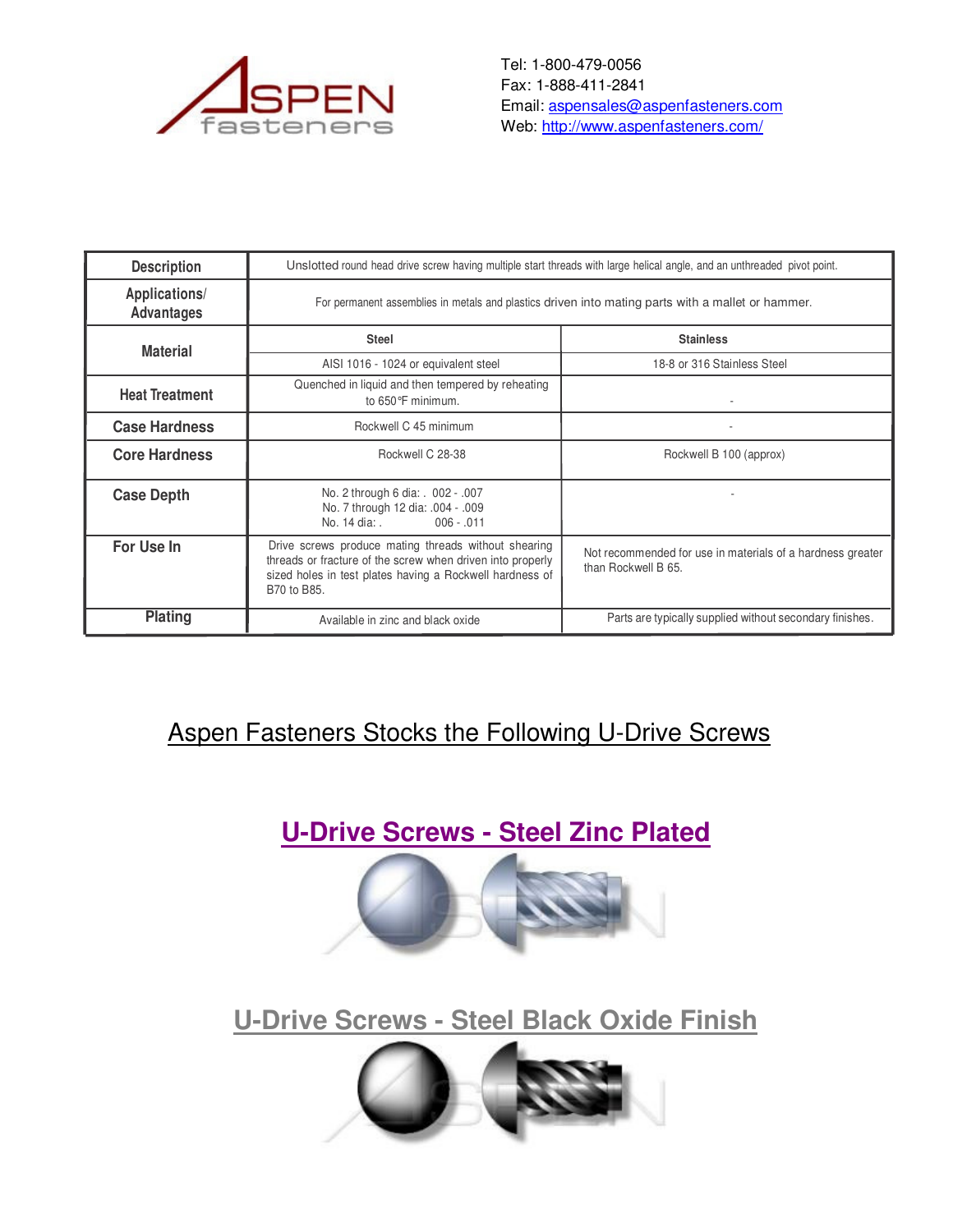

Tel: 1-800-479-0056 Fax: 1-888-411-2841 Email: aspensales@aspenfasteners.com Web: http://www.aspenfasteners.com/

| <b>Description</b>                 | Unslotted round head drive screw having multiple start threads with large helical angle, and an unthreaded pivot point.                                                                       |                                                                                   |  |  |  |  |  |
|------------------------------------|-----------------------------------------------------------------------------------------------------------------------------------------------------------------------------------------------|-----------------------------------------------------------------------------------|--|--|--|--|--|
| Applications/<br><b>Advantages</b> | For permanent assemblies in metals and plastics driven into mating parts with a mallet or hammer.                                                                                             |                                                                                   |  |  |  |  |  |
| <b>Material</b>                    | <b>Steel</b>                                                                                                                                                                                  | <b>Stainless</b>                                                                  |  |  |  |  |  |
|                                    | AISI 1016 - 1024 or equivalent steel                                                                                                                                                          | 18-8 or 316 Stainless Steel                                                       |  |  |  |  |  |
| <b>Heat Treatment</b>              | Quenched in liquid and then tempered by reheating<br>to 650°F minimum.                                                                                                                        |                                                                                   |  |  |  |  |  |
| <b>Case Hardness</b>               | Rockwell C 45 minimum                                                                                                                                                                         |                                                                                   |  |  |  |  |  |
| <b>Core Hardness</b>               | Rockwell C 28-38                                                                                                                                                                              | Rockwell B 100 (approx)                                                           |  |  |  |  |  |
| <b>Case Depth</b>                  | No. 2 through 6 dia: . 002 - .007<br>No. 7 through 12 dia: .004 - .009<br>No. 14 dia: .<br>$006 - 011$                                                                                        |                                                                                   |  |  |  |  |  |
| For Use In                         | Drive screws produce mating threads without shearing<br>threads or fracture of the screw when driven into properly<br>sized holes in test plates having a Rockwell hardness of<br>B70 to B85. | Not recommended for use in materials of a hardness greater<br>than Rockwell B 65. |  |  |  |  |  |
| <b>Plating</b>                     | Available in zinc and black oxide                                                                                                                                                             | Parts are typically supplied without secondary finishes.                          |  |  |  |  |  |

## Aspen Fasteners Stocks the Following U-Drive Screws





**U-Drive Screws - Steel Black Oxide Finish**